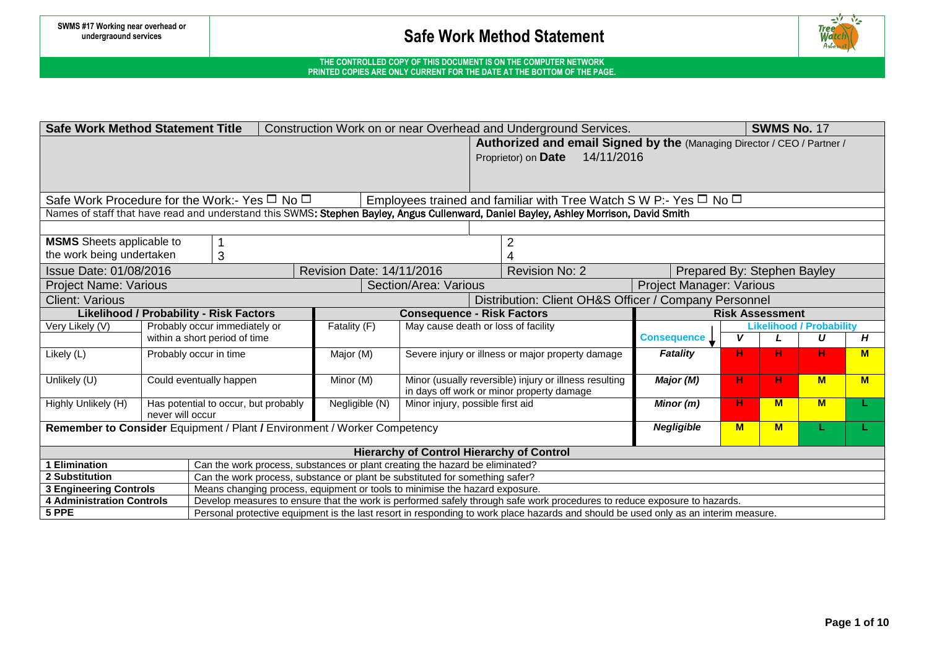

| <b>Safe Work Method Statement Title</b><br>Construction Work on or near Overhead and Underground Services.<br><b>SWMS No. 17</b>                                                                                                                                                                    |                                                                                                                                       |                           |                                     |                                                        |                             |     |                        |          |     |
|-----------------------------------------------------------------------------------------------------------------------------------------------------------------------------------------------------------------------------------------------------------------------------------------------------|---------------------------------------------------------------------------------------------------------------------------------------|---------------------------|-------------------------------------|--------------------------------------------------------|-----------------------------|-----|------------------------|----------|-----|
|                                                                                                                                                                                                                                                                                                     | Authorized and email Signed by the (Managing Director / CEO / Partner /                                                               |                           |                                     |                                                        |                             |     |                        |          |     |
|                                                                                                                                                                                                                                                                                                     |                                                                                                                                       |                           | Proprietor) on Date 14/11/2016      |                                                        |                             |     |                        |          |     |
|                                                                                                                                                                                                                                                                                                     |                                                                                                                                       |                           |                                     |                                                        |                             |     |                        |          |     |
|                                                                                                                                                                                                                                                                                                     |                                                                                                                                       |                           |                                     |                                                        |                             |     |                        |          |     |
| Safe Work Procedure for the Work:- Yes $\Box$ No $\Box$<br>Employees trained and familiar with Tree Watch S W P:- Yes $\Box$ No $\Box$                                                                                                                                                              |                                                                                                                                       |                           |                                     |                                                        |                             |     |                        |          |     |
|                                                                                                                                                                                                                                                                                                     | Names of staff that have read and understand this SWMS: Stephen Bayley, Angus Cullenward, Daniel Bayley, Ashley Morrison, David Smith |                           |                                     |                                                        |                             |     |                        |          |     |
|                                                                                                                                                                                                                                                                                                     |                                                                                                                                       |                           |                                     |                                                        |                             |     |                        |          |     |
| <b>MSMS</b> Sheets applicable to                                                                                                                                                                                                                                                                    |                                                                                                                                       |                           |                                     |                                                        |                             |     |                        |          |     |
| the work being undertaken                                                                                                                                                                                                                                                                           | 3                                                                                                                                     |                           |                                     |                                                        |                             |     |                        |          |     |
| Issue Date: 01/08/2016                                                                                                                                                                                                                                                                              |                                                                                                                                       | Revision Date: 14/11/2016 |                                     | <b>Revision No: 2</b>                                  | Prepared By: Stephen Bayley |     |                        |          |     |
| <b>Project Name: Various</b>                                                                                                                                                                                                                                                                        |                                                                                                                                       |                           | Section/Area: Various               |                                                        | Project Manager: Various    |     |                        |          |     |
| <b>Client: Various</b>                                                                                                                                                                                                                                                                              |                                                                                                                                       |                           |                                     | Distribution: Client OH&S Officer / Company Personnel  |                             |     |                        |          |     |
| <b>Likelihood / Probability - Risk Factors</b><br><b>Consequence - Risk Factors</b>                                                                                                                                                                                                                 |                                                                                                                                       |                           |                                     |                                                        |                             |     | <b>Risk Assessment</b> |          |     |
| Very Likely (V)                                                                                                                                                                                                                                                                                     | Probably occur immediately or                                                                                                         | Fatality (F)              | May cause death or loss of facility | <b>Likelihood / Probability</b>                        |                             |     |                        |          |     |
|                                                                                                                                                                                                                                                                                                     | within a short period of time                                                                                                         |                           |                                     |                                                        | <b>Consequence</b>          | v   |                        | U        | Н   |
| Likely (L)                                                                                                                                                                                                                                                                                          | Probably occur in time                                                                                                                | Major (M)                 |                                     | Severe injury or illness or major property damage      | <b>Fatality</b>             | н   | н                      | н.       | $M$ |
|                                                                                                                                                                                                                                                                                                     |                                                                                                                                       |                           |                                     |                                                        |                             |     |                        |          |     |
| Unlikely (U)                                                                                                                                                                                                                                                                                        | Could eventually happen                                                                                                               | Minor (M)                 |                                     | Minor (usually reversible) injury or illness resulting | Major (M)                   | н.  | н                      | <b>M</b> | M   |
|                                                                                                                                                                                                                                                                                                     |                                                                                                                                       |                           |                                     | in days off work or minor property damage              |                             |     | <b>M</b>               |          |     |
| Highly Unlikely (H)                                                                                                                                                                                                                                                                                 | Has potential to occur, but probably<br>never will occur                                                                              | Negligible (N)            | Minor injury, possible first aid    |                                                        | Minor (m)                   | н.  |                        | M        |     |
|                                                                                                                                                                                                                                                                                                     | Remember to Consider Equipment / Plant / Environment / Worker Competency                                                              |                           |                                     |                                                        | <b>Negligible</b>           | $M$ | <b>M</b>               |          |     |
|                                                                                                                                                                                                                                                                                                     |                                                                                                                                       |                           |                                     |                                                        |                             |     |                        |          |     |
| <b>Hierarchy of Control Hierarchy of Control</b>                                                                                                                                                                                                                                                    |                                                                                                                                       |                           |                                     |                                                        |                             |     |                        |          |     |
| <b>1 Elimination</b><br>Can the work process, substances or plant creating the hazard be eliminated?                                                                                                                                                                                                |                                                                                                                                       |                           |                                     |                                                        |                             |     |                        |          |     |
| 2 Substitution<br>Can the work process, substance or plant be substituted for something safer?                                                                                                                                                                                                      |                                                                                                                                       |                           |                                     |                                                        |                             |     |                        |          |     |
| Means changing process, equipment or tools to minimise the hazard exposure.<br><b>3 Engineering Controls</b>                                                                                                                                                                                        |                                                                                                                                       |                           |                                     |                                                        |                             |     |                        |          |     |
| <b>4 Administration Controls</b><br>Develop measures to ensure that the work is performed safely through safe work procedures to reduce exposure to hazards.<br>Personal protective equipment is the last resort in responding to work place hazards and should be used only as an interim measure. |                                                                                                                                       |                           |                                     |                                                        |                             |     |                        |          |     |
| 5 PPE                                                                                                                                                                                                                                                                                               |                                                                                                                                       |                           |                                     |                                                        |                             |     |                        |          |     |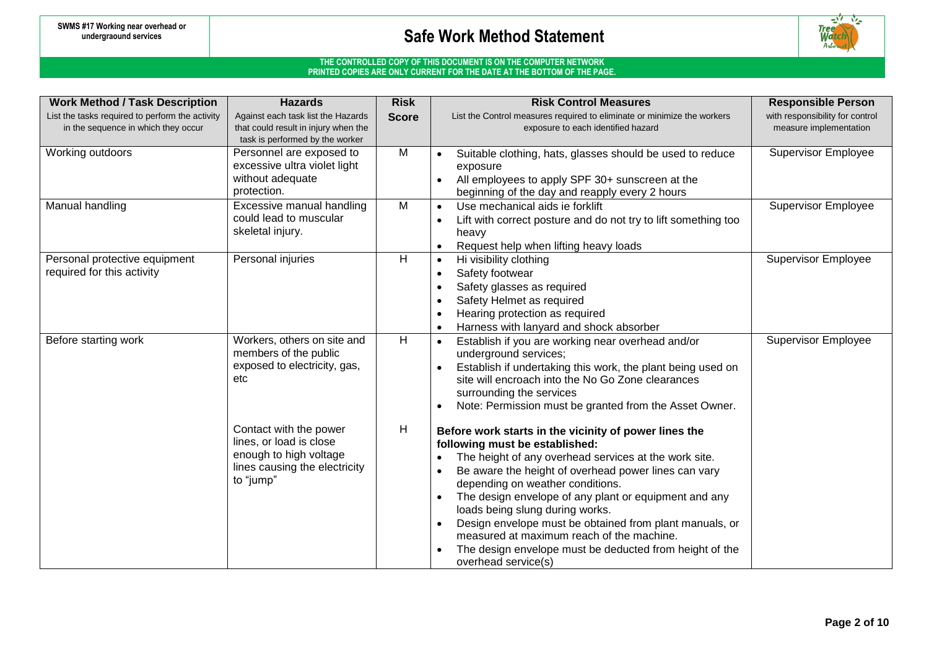

| <b>Work Method / Task Description</b>                                                  | <b>Hazards</b>                                                                                                            | <b>Risk</b>    | <b>Risk Control Measures</b>                                                                                                                                                                                                                                                                                                                                                                                                                                                                                                                    | <b>Responsible Person</b>                                 |
|----------------------------------------------------------------------------------------|---------------------------------------------------------------------------------------------------------------------------|----------------|-------------------------------------------------------------------------------------------------------------------------------------------------------------------------------------------------------------------------------------------------------------------------------------------------------------------------------------------------------------------------------------------------------------------------------------------------------------------------------------------------------------------------------------------------|-----------------------------------------------------------|
| List the tasks required to perform the activity<br>in the sequence in which they occur | Against each task list the Hazards<br>that could result in injury when the<br>task is performed by the worker             | <b>Score</b>   | List the Control measures required to eliminate or minimize the workers<br>exposure to each identified hazard                                                                                                                                                                                                                                                                                                                                                                                                                                   | with responsibility for control<br>measure implementation |
| Working outdoors                                                                       | Personnel are exposed to<br>excessive ultra violet light<br>without adequate<br>protection.                               | M              | Suitable clothing, hats, glasses should be used to reduce<br>exposure<br>All employees to apply SPF 30+ sunscreen at the<br>beginning of the day and reapply every 2 hours                                                                                                                                                                                                                                                                                                                                                                      | <b>Supervisor Employee</b>                                |
| Manual handling                                                                        | Excessive manual handling<br>could lead to muscular<br>skeletal injury.                                                   | M              | Use mechanical aids ie forklift<br>$\bullet$<br>Lift with correct posture and do not try to lift something too<br>heavy<br>Request help when lifting heavy loads                                                                                                                                                                                                                                                                                                                                                                                | <b>Supervisor Employee</b>                                |
| Personal protective equipment<br>required for this activity                            | Personal injuries                                                                                                         | H              | Hi visibility clothing<br>$\bullet$<br>Safety footwear<br>Safety glasses as required<br>Safety Helmet as required<br>Hearing protection as required<br>Harness with lanyard and shock absorber                                                                                                                                                                                                                                                                                                                                                  | <b>Supervisor Employee</b>                                |
| Before starting work                                                                   | Workers, others on site and<br>members of the public<br>exposed to electricity, gas,<br>etc                               | $\overline{H}$ | Establish if you are working near overhead and/or<br>underground services;<br>Establish if undertaking this work, the plant being used on<br>site will encroach into the No Go Zone clearances<br>surrounding the services<br>Note: Permission must be granted from the Asset Owner.                                                                                                                                                                                                                                                            | <b>Supervisor Employee</b>                                |
|                                                                                        | Contact with the power<br>lines, or load is close<br>enough to high voltage<br>lines causing the electricity<br>to "jump" | H              | Before work starts in the vicinity of power lines the<br>following must be established:<br>The height of any overhead services at the work site.<br>Be aware the height of overhead power lines can vary<br>depending on weather conditions.<br>The design envelope of any plant or equipment and any<br>$\bullet$<br>loads being slung during works.<br>Design envelope must be obtained from plant manuals, or<br>measured at maximum reach of the machine.<br>The design envelope must be deducted from height of the<br>overhead service(s) |                                                           |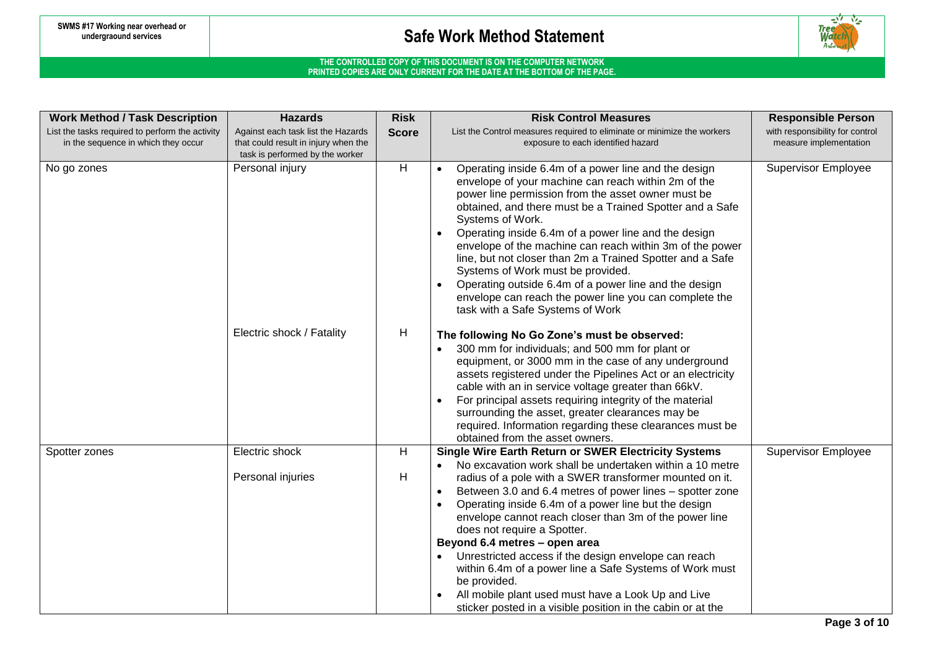

| <b>Work Method / Task Description</b>           | <b>Hazards</b>                                     | <b>Risk</b>  | <b>Risk Control Measures</b>                                                                                          | <b>Responsible Person</b>       |
|-------------------------------------------------|----------------------------------------------------|--------------|-----------------------------------------------------------------------------------------------------------------------|---------------------------------|
| List the tasks required to perform the activity | Against each task list the Hazards                 | <b>Score</b> | List the Control measures required to eliminate or minimize the workers                                               | with responsibility for control |
| in the sequence in which they occur             | that could result in injury when the               |              | exposure to each identified hazard                                                                                    | measure implementation          |
| No go zones                                     | task is performed by the worker<br>Personal injury | H            | Operating inside 6.4m of a power line and the design                                                                  | <b>Supervisor Employee</b>      |
|                                                 |                                                    |              | envelope of your machine can reach within 2m of the                                                                   |                                 |
|                                                 |                                                    |              | power line permission from the asset owner must be                                                                    |                                 |
|                                                 |                                                    |              | obtained, and there must be a Trained Spotter and a Safe                                                              |                                 |
|                                                 |                                                    |              | Systems of Work.                                                                                                      |                                 |
|                                                 |                                                    |              | Operating inside 6.4m of a power line and the design                                                                  |                                 |
|                                                 |                                                    |              | envelope of the machine can reach within 3m of the power<br>line, but not closer than 2m a Trained Spotter and a Safe |                                 |
|                                                 |                                                    |              | Systems of Work must be provided.                                                                                     |                                 |
|                                                 |                                                    |              | Operating outside 6.4m of a power line and the design                                                                 |                                 |
|                                                 |                                                    |              | envelope can reach the power line you can complete the                                                                |                                 |
|                                                 |                                                    |              | task with a Safe Systems of Work                                                                                      |                                 |
|                                                 | Electric shock / Fatality                          | H            | The following No Go Zone's must be observed:                                                                          |                                 |
|                                                 |                                                    |              | 300 mm for individuals; and 500 mm for plant or                                                                       |                                 |
|                                                 |                                                    |              | equipment, or 3000 mm in the case of any underground                                                                  |                                 |
|                                                 |                                                    |              | assets registered under the Pipelines Act or an electricity                                                           |                                 |
|                                                 |                                                    |              | cable with an in service voltage greater than 66kV.                                                                   |                                 |
|                                                 |                                                    |              | For principal assets requiring integrity of the material<br>surrounding the asset, greater clearances may be          |                                 |
|                                                 |                                                    |              | required. Information regarding these clearances must be                                                              |                                 |
|                                                 |                                                    |              | obtained from the asset owners.                                                                                       |                                 |
| Spotter zones                                   | Electric shock                                     | H            | <b>Single Wire Earth Return or SWER Electricity Systems</b>                                                           | <b>Supervisor Employee</b>      |
|                                                 |                                                    |              | No excavation work shall be undertaken within a 10 metre                                                              |                                 |
|                                                 | Personal injuries                                  | H            | radius of a pole with a SWER transformer mounted on it.<br>Between 3.0 and 6.4 metres of power lines – spotter zone   |                                 |
|                                                 |                                                    |              | Operating inside 6.4m of a power line but the design                                                                  |                                 |
|                                                 |                                                    |              | envelope cannot reach closer than 3m of the power line                                                                |                                 |
|                                                 |                                                    |              | does not require a Spotter.                                                                                           |                                 |
|                                                 |                                                    |              | Beyond 6.4 metres - open area                                                                                         |                                 |
|                                                 |                                                    |              | Unrestricted access if the design envelope can reach                                                                  |                                 |
|                                                 |                                                    |              | within 6.4m of a power line a Safe Systems of Work must<br>be provided.                                               |                                 |
|                                                 |                                                    |              | All mobile plant used must have a Look Up and Live                                                                    |                                 |
|                                                 |                                                    |              | sticker posted in a visible position in the cabin or at the                                                           |                                 |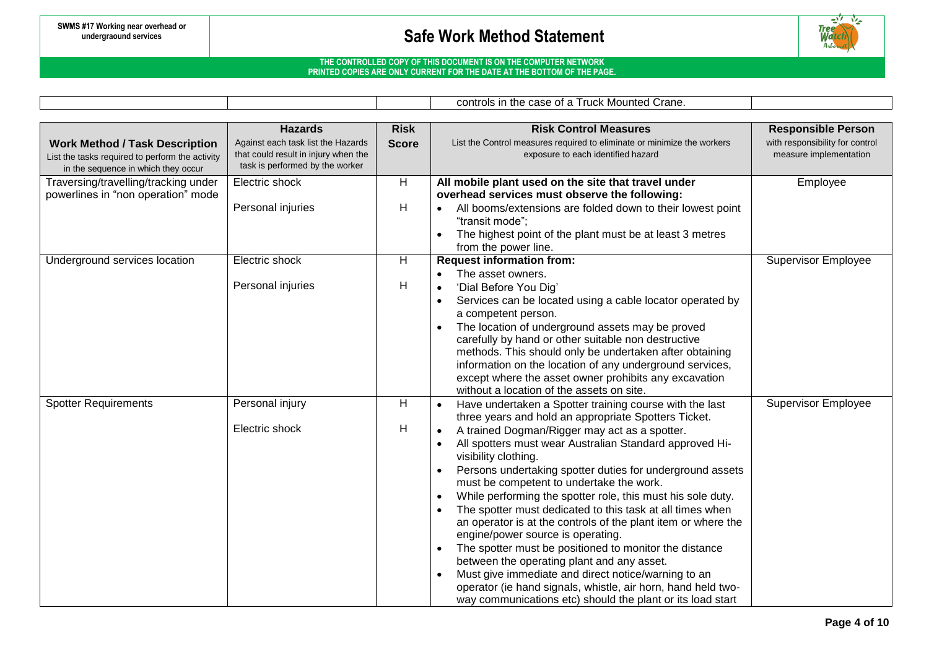

### **THE CONTROLLED COPY OF THIS DOCUMENT IS ON THE COMPUTER NETWORK PRINTED COPIES ARE ONLY CURRENT FOR THE DATE AT THE BOTTOM OF THE PAGE.**

controls in the case of a Truck Mounted Crane.

|                                                                                                                                 | <b>Hazards</b>                                                                                                | <b>Risk</b>  | <b>Risk Control Measures</b>                                                                                                                                                                                                                                                                                                                                                                                                                                                                                                                                                                                                                                                                                                                                                                                                                                                                | <b>Responsible Person</b>                                 |
|---------------------------------------------------------------------------------------------------------------------------------|---------------------------------------------------------------------------------------------------------------|--------------|---------------------------------------------------------------------------------------------------------------------------------------------------------------------------------------------------------------------------------------------------------------------------------------------------------------------------------------------------------------------------------------------------------------------------------------------------------------------------------------------------------------------------------------------------------------------------------------------------------------------------------------------------------------------------------------------------------------------------------------------------------------------------------------------------------------------------------------------------------------------------------------------|-----------------------------------------------------------|
| <b>Work Method / Task Description</b><br>List the tasks required to perform the activity<br>in the sequence in which they occur | Against each task list the Hazards<br>that could result in injury when the<br>task is performed by the worker | <b>Score</b> | List the Control measures required to eliminate or minimize the workers<br>exposure to each identified hazard                                                                                                                                                                                                                                                                                                                                                                                                                                                                                                                                                                                                                                                                                                                                                                               | with responsibility for control<br>measure implementation |
| Traversing/travelling/tracking under<br>powerlines in "non operation" mode                                                      | Electric shock<br>Personal injuries                                                                           | H<br>H       | All mobile plant used on the site that travel under<br>overhead services must observe the following:<br>All booms/extensions are folded down to their lowest point<br>"transit mode";<br>The highest point of the plant must be at least 3 metres<br>from the power line.                                                                                                                                                                                                                                                                                                                                                                                                                                                                                                                                                                                                                   | Employee                                                  |
| Underground services location                                                                                                   | Electric shock<br>Personal injuries                                                                           | H<br>Н       | <b>Request information from:</b><br>The asset owners.<br>'Dial Before You Dig'<br>Services can be located using a cable locator operated by<br>a competent person.<br>The location of underground assets may be proved<br>carefully by hand or other suitable non destructive<br>methods. This should only be undertaken after obtaining<br>information on the location of any underground services,<br>except where the asset owner prohibits any excavation<br>without a location of the assets on site.                                                                                                                                                                                                                                                                                                                                                                                  | <b>Supervisor Employee</b>                                |
| <b>Spotter Requirements</b>                                                                                                     | Personal injury<br>Electric shock                                                                             | H<br>H       | Have undertaken a Spotter training course with the last<br>three years and hold an appropriate Spotters Ticket.<br>A trained Dogman/Rigger may act as a spotter.<br>All spotters must wear Australian Standard approved Hi-<br>visibility clothing.<br>Persons undertaking spotter duties for underground assets<br>must be competent to undertake the work.<br>While performing the spotter role, this must his sole duty.<br>The spotter must dedicated to this task at all times when<br>an operator is at the controls of the plant item or where the<br>engine/power source is operating.<br>The spotter must be positioned to monitor the distance<br>between the operating plant and any asset.<br>Must give immediate and direct notice/warning to an<br>operator (ie hand signals, whistle, air horn, hand held two-<br>way communications etc) should the plant or its load start | <b>Supervisor Employee</b>                                |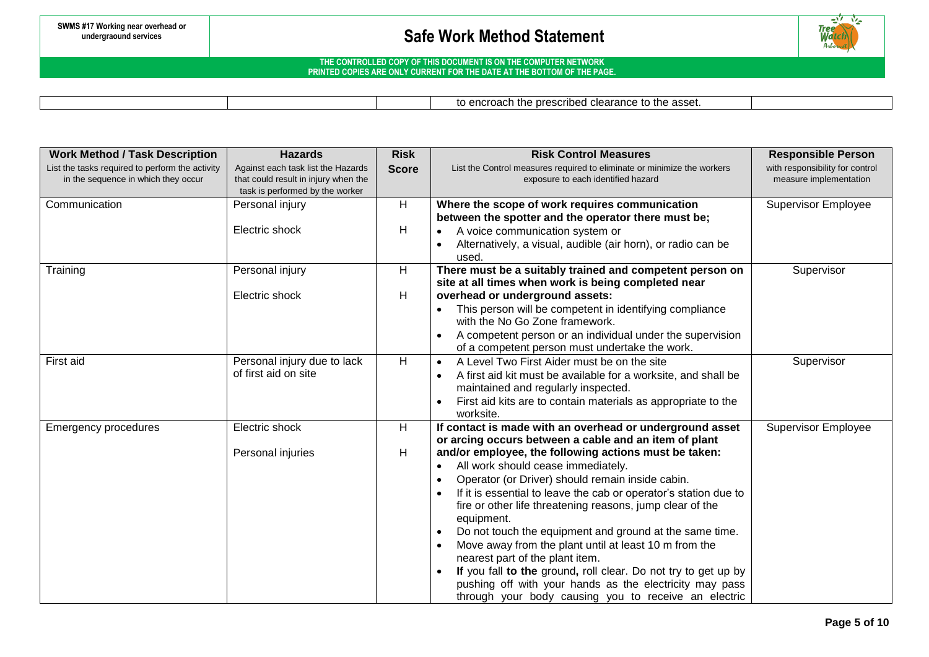

### **THE CONTROLLED COPY OF THIS DOCUMENT IS ON THE COMPUTER NETWORK PRINTED COPIES ARE ONLY CURRENT FOR THE DATE AT THE BOTTOM OF THE PAGE.**

to encroach the prescribed clearance to the asset.

| <b>Work Method / Task Description</b>           | <b>Hazards</b>                       | <b>Risk</b>  | <b>Risk Control Measures</b>                                                                                | <b>Responsible Person</b>       |
|-------------------------------------------------|--------------------------------------|--------------|-------------------------------------------------------------------------------------------------------------|---------------------------------|
| List the tasks required to perform the activity | Against each task list the Hazards   | <b>Score</b> | List the Control measures required to eliminate or minimize the workers                                     | with responsibility for control |
| in the sequence in which they occur             | that could result in injury when the |              | exposure to each identified hazard                                                                          | measure implementation          |
|                                                 | task is performed by the worker      |              |                                                                                                             |                                 |
| Communication                                   | Personal injury                      | H            | Where the scope of work requires communication                                                              | <b>Supervisor Employee</b>      |
|                                                 |                                      |              | between the spotter and the operator there must be;                                                         |                                 |
|                                                 | Electric shock                       | H            | A voice communication system or                                                                             |                                 |
|                                                 |                                      |              | Alternatively, a visual, audible (air horn), or radio can be                                                |                                 |
|                                                 |                                      |              | used.                                                                                                       |                                 |
| Training                                        | Personal injury                      | Н            | There must be a suitably trained and competent person on                                                    | Supervisor                      |
|                                                 |                                      |              | site at all times when work is being completed near                                                         |                                 |
|                                                 | Electric shock                       | Н            | overhead or underground assets:                                                                             |                                 |
|                                                 |                                      |              | This person will be competent in identifying compliance<br>with the No Go Zone framework.                   |                                 |
|                                                 |                                      |              |                                                                                                             |                                 |
|                                                 |                                      |              | A competent person or an individual under the supervision<br>of a competent person must undertake the work. |                                 |
| First aid                                       | Personal injury due to lack          | H            | A Level Two First Aider must be on the site<br>$\bullet$                                                    | Supervisor                      |
|                                                 | of first aid on site                 |              |                                                                                                             |                                 |
|                                                 |                                      |              | A first aid kit must be available for a worksite, and shall be<br>maintained and regularly inspected.       |                                 |
|                                                 |                                      |              |                                                                                                             |                                 |
|                                                 |                                      |              | First aid kits are to contain materials as appropriate to the<br>worksite.                                  |                                 |
| <b>Emergency procedures</b>                     | Electric shock                       | H            | If contact is made with an overhead or underground asset                                                    | <b>Supervisor Employee</b>      |
|                                                 |                                      |              | or arcing occurs between a cable and an item of plant                                                       |                                 |
|                                                 | Personal injuries                    | Н            | and/or employee, the following actions must be taken:                                                       |                                 |
|                                                 |                                      |              | All work should cease immediately.<br>$\bullet$                                                             |                                 |
|                                                 |                                      |              | Operator (or Driver) should remain inside cabin.                                                            |                                 |
|                                                 |                                      |              | If it is essential to leave the cab or operator's station due to                                            |                                 |
|                                                 |                                      |              | fire or other life threatening reasons, jump clear of the                                                   |                                 |
|                                                 |                                      |              | equipment.                                                                                                  |                                 |
|                                                 |                                      |              | Do not touch the equipment and ground at the same time.                                                     |                                 |
|                                                 |                                      |              | Move away from the plant until at least 10 m from the                                                       |                                 |
|                                                 |                                      |              | nearest part of the plant item.                                                                             |                                 |
|                                                 |                                      |              | If you fall to the ground, roll clear. Do not try to get up by                                              |                                 |
|                                                 |                                      |              | pushing off with your hands as the electricity may pass                                                     |                                 |
|                                                 |                                      |              | through your body causing you to receive an electric                                                        |                                 |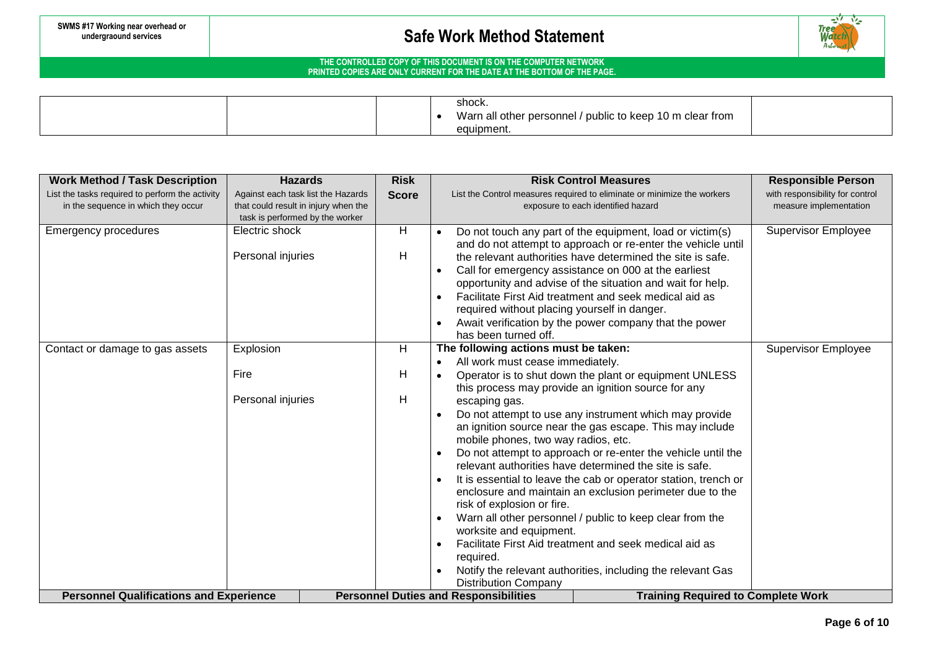

|  |  | shock.                                                         |  |
|--|--|----------------------------------------------------------------|--|
|  |  | I / public to keep 10 m clear from<br>Warn all other personnel |  |
|  |  | equipment.                                                     |  |

| <b>Work Method / Task Description</b>           | <b>Hazards</b>                       | <b>Risk</b>  | <b>Risk Control Measures</b>                                                              | <b>Responsible Person</b>       |
|-------------------------------------------------|--------------------------------------|--------------|-------------------------------------------------------------------------------------------|---------------------------------|
| List the tasks required to perform the activity | Against each task list the Hazards   | <b>Score</b> | List the Control measures required to eliminate or minimize the workers                   | with responsibility for control |
| in the sequence in which they occur             | that could result in injury when the |              | exposure to each identified hazard                                                        | measure implementation          |
|                                                 | task is performed by the worker      |              |                                                                                           |                                 |
| <b>Emergency procedures</b>                     | Electric shock                       | H            | Do not touch any part of the equipment, load or victim(s)                                 | <b>Supervisor Employee</b>      |
|                                                 |                                      |              | and do not attempt to approach or re-enter the vehicle until                              |                                 |
|                                                 | Personal injuries                    | H            | the relevant authorities have determined the site is safe.                                |                                 |
|                                                 |                                      |              | Call for emergency assistance on 000 at the earliest                                      |                                 |
|                                                 |                                      |              | opportunity and advise of the situation and wait for help.                                |                                 |
|                                                 |                                      |              | Facilitate First Aid treatment and seek medical aid as                                    |                                 |
|                                                 |                                      |              | required without placing yourself in danger.                                              |                                 |
|                                                 |                                      |              | Await verification by the power company that the power                                    |                                 |
|                                                 |                                      |              | has been turned off.                                                                      |                                 |
| Contact or damage to gas assets                 | Explosion                            | H            | The following actions must be taken:                                                      | <b>Supervisor Employee</b>      |
|                                                 |                                      |              | All work must cease immediately.                                                          |                                 |
|                                                 | Fire                                 | H            | Operator is to shut down the plant or equipment UNLESS                                    |                                 |
|                                                 |                                      |              | this process may provide an ignition source for any                                       |                                 |
|                                                 | Personal injuries                    | H            | escaping gas.                                                                             |                                 |
|                                                 |                                      |              | Do not attempt to use any instrument which may provide                                    |                                 |
|                                                 |                                      |              | an ignition source near the gas escape. This may include                                  |                                 |
|                                                 |                                      |              | mobile phones, two way radios, etc.                                                       |                                 |
|                                                 |                                      |              | Do not attempt to approach or re-enter the vehicle until the                              |                                 |
|                                                 |                                      |              | relevant authorities have determined the site is safe.                                    |                                 |
|                                                 |                                      |              | It is essential to leave the cab or operator station, trench or                           |                                 |
|                                                 |                                      |              | enclosure and maintain an exclusion perimeter due to the                                  |                                 |
|                                                 |                                      |              | risk of explosion or fire.                                                                |                                 |
|                                                 |                                      |              | Warn all other personnel / public to keep clear from the                                  |                                 |
|                                                 |                                      |              | worksite and equipment.                                                                   |                                 |
|                                                 |                                      |              | Facilitate First Aid treatment and seek medical aid as                                    |                                 |
|                                                 |                                      |              | required.                                                                                 |                                 |
|                                                 |                                      |              | Notify the relevant authorities, including the relevant Gas                               |                                 |
|                                                 |                                      |              | <b>Distribution Company</b>                                                               |                                 |
| <b>Personnel Qualifications and Experience</b>  |                                      |              | <b>Personnel Duties and Responsibilities</b><br><b>Training Required to Complete Work</b> |                                 |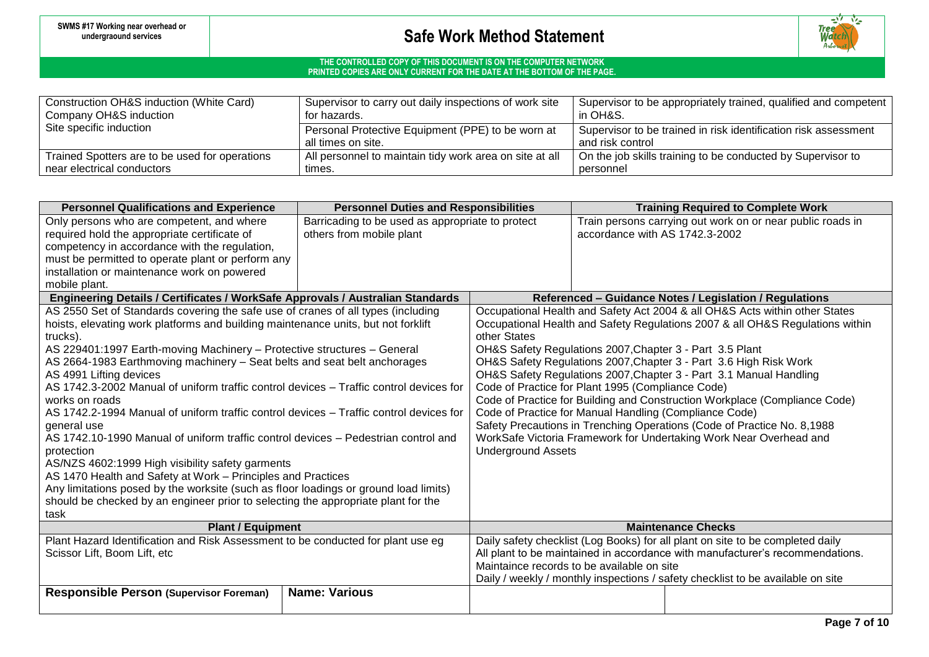

| Construction OH&S induction (White Card)       | Supervisor to carry out daily inspections of work site  | Supervisor to be appropriately trained, qualified and competent |  |  |
|------------------------------------------------|---------------------------------------------------------|-----------------------------------------------------------------|--|--|
| Company OH&S induction                         | for hazards.                                            | in OH&S.                                                        |  |  |
| Site specific induction                        | Personal Protective Equipment (PPE) to be worn at       | Supervisor to be trained in risk identification risk assessment |  |  |
|                                                | all times on site.                                      | and risk control                                                |  |  |
| Trained Spotters are to be used for operations | All personnel to maintain tidy work area on site at all | On the job skills training to be conducted by Supervisor to     |  |  |
| near electrical conductors                     | times.                                                  | personnel                                                       |  |  |

| <b>Personnel Qualifications and Experience</b>                                                                    | <b>Personnel Duties and Responsibilities</b>     |                                                                                                                                               | <b>Training Required to Complete Work</b>                                     |                                                                                |  |  |
|-------------------------------------------------------------------------------------------------------------------|--------------------------------------------------|-----------------------------------------------------------------------------------------------------------------------------------------------|-------------------------------------------------------------------------------|--------------------------------------------------------------------------------|--|--|
| Only persons who are competent, and where                                                                         | Barricading to be used as appropriate to protect |                                                                                                                                               |                                                                               | Train persons carrying out work on or near public roads in                     |  |  |
| required hold the appropriate certificate of                                                                      | others from mobile plant                         |                                                                                                                                               | accordance with AS 1742.3-2002                                                |                                                                                |  |  |
| competency in accordance with the regulation,                                                                     |                                                  |                                                                                                                                               |                                                                               |                                                                                |  |  |
| must be permitted to operate plant or perform any                                                                 |                                                  |                                                                                                                                               |                                                                               |                                                                                |  |  |
| installation or maintenance work on powered                                                                       |                                                  |                                                                                                                                               |                                                                               |                                                                                |  |  |
| mobile plant.                                                                                                     |                                                  |                                                                                                                                               |                                                                               |                                                                                |  |  |
| Engineering Details / Certificates / WorkSafe Approvals / Australian Standards                                    |                                                  |                                                                                                                                               |                                                                               | Referenced - Guidance Notes / Legislation / Regulations                        |  |  |
| AS 2550 Set of Standards covering the safe use of cranes of all types (including                                  |                                                  |                                                                                                                                               |                                                                               | Occupational Health and Safety Act 2004 & all OH&S Acts within other States    |  |  |
| hoists, elevating work platforms and building maintenance units, but not forklift                                 |                                                  |                                                                                                                                               |                                                                               | Occupational Health and Safety Regulations 2007 & all OH&S Regulations within  |  |  |
| trucks).                                                                                                          |                                                  | other States                                                                                                                                  |                                                                               |                                                                                |  |  |
| AS 229401:1997 Earth-moving Machinery - Protective structures - General                                           |                                                  |                                                                                                                                               |                                                                               | OH&S Safety Regulations 2007, Chapter 3 - Part 3.5 Plant                       |  |  |
| AS 2664-1983 Earthmoving machinery - Seat belts and seat belt anchorages                                          |                                                  | OH&S Safety Regulations 2007, Chapter 3 - Part 3.6 High Risk Work                                                                             |                                                                               |                                                                                |  |  |
| AS 4991 Lifting devices<br>AS 1742.3-2002 Manual of uniform traffic control devices - Traffic control devices for |                                                  | OH&S Safety Regulations 2007, Chapter 3 - Part 3.1 Manual Handling                                                                            |                                                                               |                                                                                |  |  |
| works on roads                                                                                                    |                                                  | Code of Practice for Plant 1995 (Compliance Code)<br>Code of Practice for Building and Construction Workplace (Compliance Code)               |                                                                               |                                                                                |  |  |
| AS 1742.2-1994 Manual of uniform traffic control devices - Traffic control devices for                            |                                                  | Code of Practice for Manual Handling (Compliance Code)                                                                                        |                                                                               |                                                                                |  |  |
| general use                                                                                                       |                                                  |                                                                                                                                               |                                                                               |                                                                                |  |  |
| AS 1742.10-1990 Manual of uniform traffic control devices - Pedestrian control and                                |                                                  | Safety Precautions in Trenching Operations (Code of Practice No. 8,1988<br>WorkSafe Victoria Framework for Undertaking Work Near Overhead and |                                                                               |                                                                                |  |  |
| protection                                                                                                        |                                                  | <b>Underground Assets</b>                                                                                                                     |                                                                               |                                                                                |  |  |
| AS/NZS 4602:1999 High visibility safety garments                                                                  |                                                  |                                                                                                                                               |                                                                               |                                                                                |  |  |
| AS 1470 Health and Safety at Work – Principles and Practices                                                      |                                                  |                                                                                                                                               |                                                                               |                                                                                |  |  |
| Any limitations posed by the worksite (such as floor loadings or ground load limits)                              |                                                  |                                                                                                                                               |                                                                               |                                                                                |  |  |
| should be checked by an engineer prior to selecting the appropriate plant for the                                 |                                                  |                                                                                                                                               |                                                                               |                                                                                |  |  |
| task                                                                                                              |                                                  |                                                                                                                                               |                                                                               |                                                                                |  |  |
| <b>Plant / Equipment</b>                                                                                          |                                                  | <b>Maintenance Checks</b>                                                                                                                     |                                                                               |                                                                                |  |  |
| Plant Hazard Identification and Risk Assessment to be conducted for plant use eg                                  |                                                  |                                                                                                                                               |                                                                               | Daily safety checklist (Log Books) for all plant on site to be completed daily |  |  |
| Scissor Lift, Boom Lift, etc                                                                                      |                                                  |                                                                                                                                               | All plant to be maintained in accordance with manufacturer's recommendations. |                                                                                |  |  |
|                                                                                                                   |                                                  | Maintaince records to be available on site                                                                                                    |                                                                               |                                                                                |  |  |
|                                                                                                                   |                                                  | Daily / weekly / monthly inspections / safety checklist to be available on site                                                               |                                                                               |                                                                                |  |  |
| <b>Responsible Person (Supervisor Foreman)</b>                                                                    | <b>Name: Various</b>                             |                                                                                                                                               |                                                                               |                                                                                |  |  |
|                                                                                                                   |                                                  |                                                                                                                                               |                                                                               |                                                                                |  |  |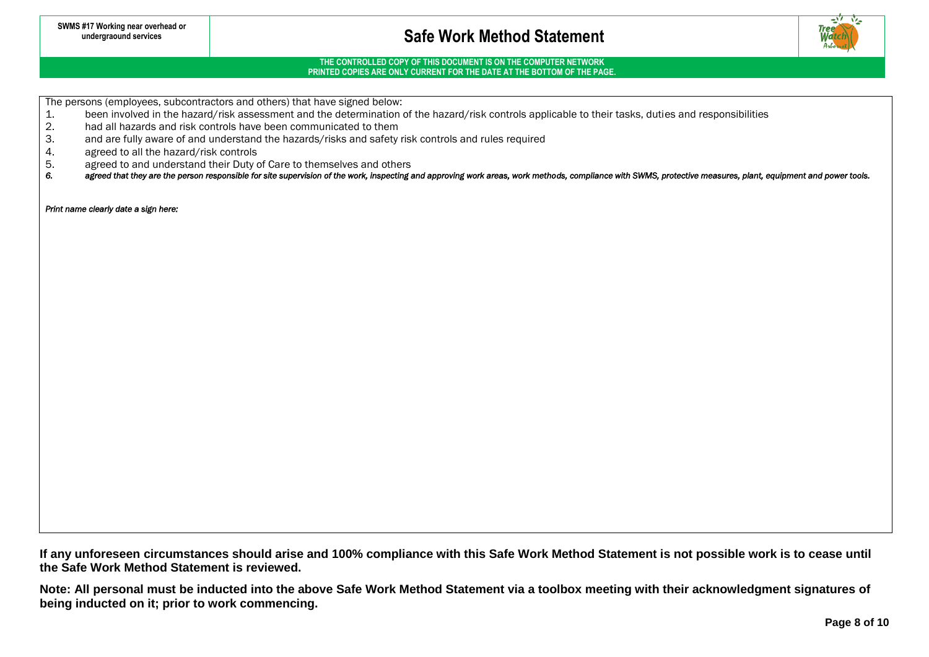

## **THE CONTROLLED COPY OF THIS DOCUMENT IS ON THE COMPUTER NETWORK PRINTED COPIES ARE ONLY CURRENT FOR THE DATE AT THE BOTTOM OF THE PAGE.**

The persons (employees, subcontractors and others) that have signed below:<br>1. been involved in the hazard/risk assessment and the determination

- 1. been involved in the hazard/risk assessment and the determination of the hazard/risk controls applicable to their tasks, duties and responsibilities<br>2. had all hazards and risk controls have been communicated to them
- 2. had all hazards and risk controls have been communicated to them<br>3. and are fully aware of and understand the hazards/risks and safety
- and are fully aware of and understand the hazards/risks and safety risk controls and rules required
- 4. agreed to all the hazard/risk controls<br>5. agreed to and understand their Duty
- 5. agreed to and understand their Duty of Care to themselves and others<br>6. agreed that they are the person responsible for site supervision of the work. Inspecting
- agreed that they are the person responsible for site supervision of the work, inspecting and approving work areas, work methods, compliance with SWMS, protective measures, plant, equipment and power tools.

*Print name clearly date a sign here:* 

**If any unforeseen circumstances should arise and 100% compliance with this Safe Work Method Statement is not possible work is to cease until the Safe Work Method Statement is reviewed.**

**Note: All personal must be inducted into the above Safe Work Method Statement via a toolbox meeting with their acknowledgment signatures of being inducted on it; prior to work commencing.**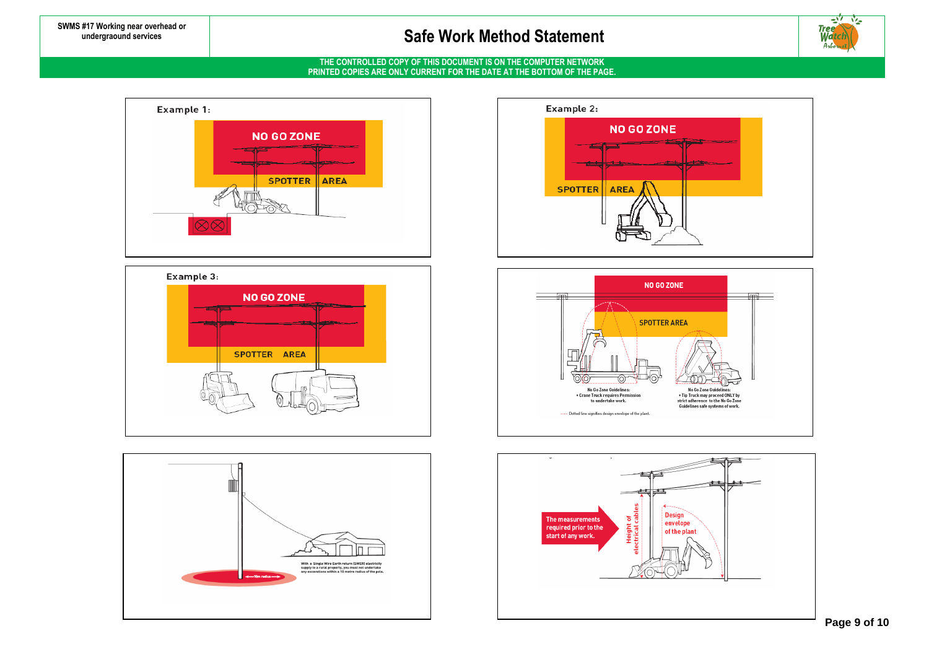